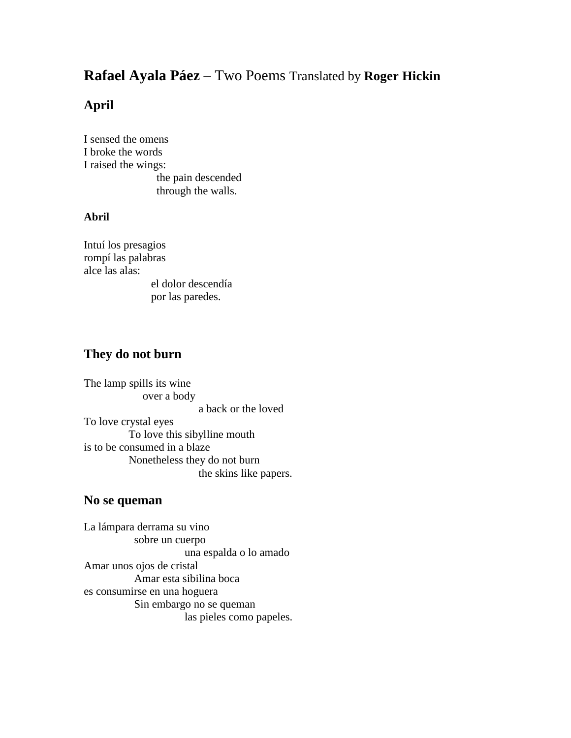# **Rafael Ayala Páez** – Two Poems Translated by **Roger Hickin**

## **April**

I sensed the omens I broke the words I raised the wings: the pain descended through the walls.

### **Abril**

Intuí los presagios rompí las palabras alce las alas: el dolor descendía

por las paredes.

## **They do not burn**

The lamp spills its wine over a body a back or the loved To love crystal eyes To love this sibylline mouth is to be consumed in a blaze Nonetheless they do not burn the skins like papers.

#### **No se queman**

La lámpara derrama su vino \_\_\_\_\_\_\_\_\_sobre un cuerpo \_\_\_\_\_\_\_\_\_\_\_\_\_\_\_\_\_\_una espalda o lo amado Amar unos ojos de cristal \_\_\_\_\_\_\_\_\_Amar esta sibilina boca es consumirse en una hoguera Sin embargo no se queman las pieles como papeles.